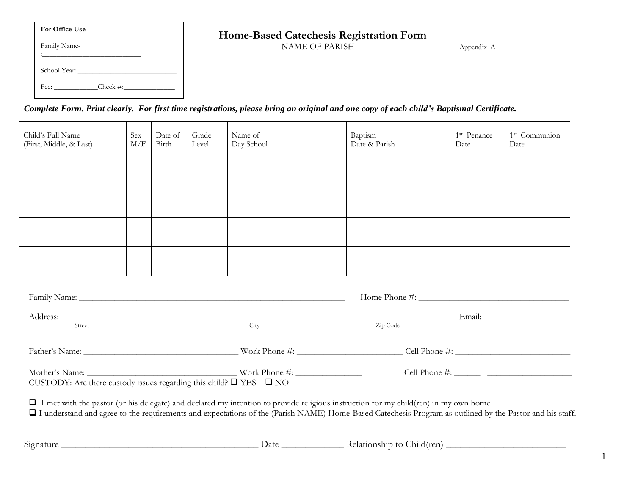| Ⅰ For Office Use | Home-Based Catechesis Registration Form |  |
|------------------|-----------------------------------------|--|
|------------------|-----------------------------------------|--|

**For Office Use** Family Name- :\_\_\_\_\_\_\_\_\_\_\_\_\_\_\_\_\_\_\_\_\_\_\_\_\_\_\_ School Year: \_\_\_\_\_\_\_\_\_\_\_\_\_\_\_\_\_\_\_\_\_\_\_\_\_\_\_ Fee: \_\_\_\_\_\_\_\_\_\_\_\_Check #:\_\_\_\_\_\_\_\_\_\_\_\_\_\_

NAME OF PARISH Appendix A

*Complete Form. Print clearly. For first time registrations, please bring an original and one copy of each child's Baptismal Certificate.*

| Child's Full Name<br>(First, Middle, & Last) | Sex<br>M/F | Date of<br>Birth | Grade<br>Level | Name of<br>Day School | Baptism<br>Date & Parish | 1 <sup>st</sup> Penance<br>Date | 1 <sup>st</sup> Communion<br>Date |
|----------------------------------------------|------------|------------------|----------------|-----------------------|--------------------------|---------------------------------|-----------------------------------|
|                                              |            |                  |                |                       |                          |                                 |                                   |
|                                              |            |                  |                |                       |                          |                                 |                                   |
|                                              |            |                  |                |                       |                          |                                 |                                   |
|                                              |            |                  |                |                       |                          |                                 |                                   |

| Street                                                                                                                                                                                                                                                                                                 | City | Zip Code |  |  |  |
|--------------------------------------------------------------------------------------------------------------------------------------------------------------------------------------------------------------------------------------------------------------------------------------------------------|------|----------|--|--|--|
|                                                                                                                                                                                                                                                                                                        |      |          |  |  |  |
| CUSTODY: Are there custody issues regarding this child? $\Box$ YES $\Box$ NO                                                                                                                                                                                                                           |      |          |  |  |  |
| $\Box$ I met with the pastor (or his delegate) and declared my intention to provide religious instruction for my child(ren) in my own home.<br>I understand and agree to the requirements and expectations of the (Parish NAME) Home-Based Catechesis Program as outlined by the Pastor and his staff. |      |          |  |  |  |
|                                                                                                                                                                                                                                                                                                        |      |          |  |  |  |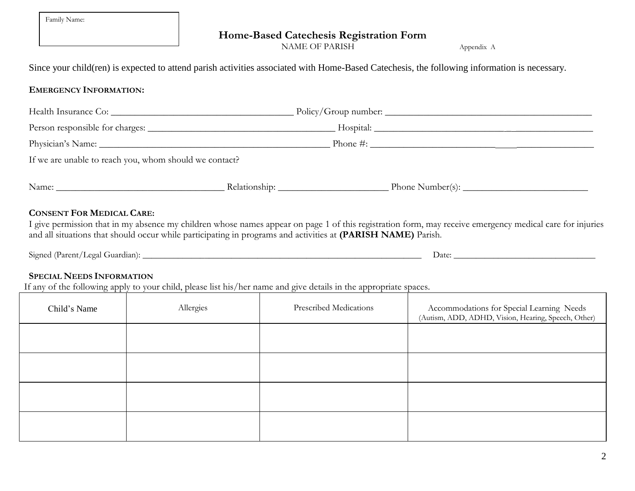| Family Name: |  |
|--------------|--|
|--------------|--|

#### **Home-Based Catechesis Registration Form**

NAME OF PARISH Appendix A

Since your child(ren) is expected to attend parish activities associated with Home-Based Catechesis, the following information is necessary.

### **EMERGENCY INFORMATION:**

| Health Insurance Co:                                   |  |                           |  |  |
|--------------------------------------------------------|--|---------------------------|--|--|
|                                                        |  |                           |  |  |
|                                                        |  | $\mathbb{P}$ Phone $\#$ : |  |  |
| If we are unable to reach you, whom should we contact? |  |                           |  |  |
| Name:                                                  |  | Phone Number(s):          |  |  |

# **CONSENT FOR MEDICAL CARE:**

I give permission that in my absence my children whose names appear on page 1 of this registration form, may receive emergency medical care for injuries and all situations that should occur while participating in programs and activities at **(PARISH NAME)** Parish.

| Signed (Parent/Legal Guardian): | Jate |
|---------------------------------|------|
|                                 |      |

## **SPECIAL NEEDS INFORMATION**

If any of the following apply to your child, please list his/her name and give details in the appropriate spaces.

| Child's Name | Allergies | Prescribed Medications | Accommodations for Special Learning Needs<br>(Autism, ADD, ADHD, Vision, Hearing, Speech, Other) |
|--------------|-----------|------------------------|--------------------------------------------------------------------------------------------------|
|              |           |                        |                                                                                                  |
|              |           |                        |                                                                                                  |
|              |           |                        |                                                                                                  |
|              |           |                        |                                                                                                  |